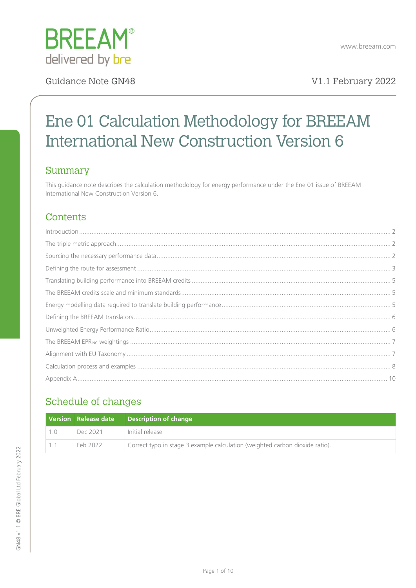

# Ene 01 Calculation Methodology for BREEAM International New Construction Version 6

## Summary

This guidance note describes the calculation methodology for energy performance under the Ene 01 issue of BREEAM International New Construction Version 6.

## **Contents**

## Schedule of changes

|  | <b>Version   Release date</b> | Description of change                                                        |
|--|-------------------------------|------------------------------------------------------------------------------|
|  | Dec 2021                      | Initial release                                                              |
|  | Feb 2022                      | Correct typo in stage 3 example calculation (weighted carbon dioxide ratio). |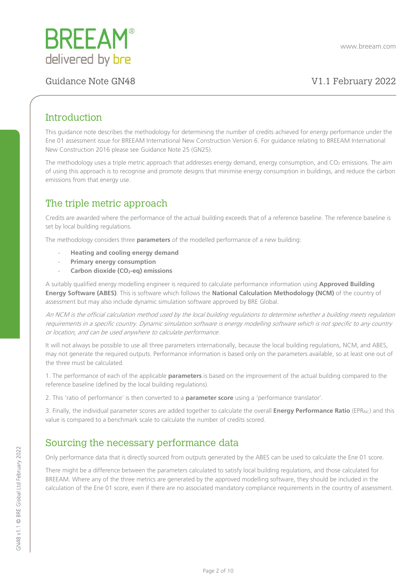

## <span id="page-1-0"></span>**Introduction**

This guidance note describes the methodology for determining the number of credits achieved for energy performance under the Ene 01 assessment issue for BREEAM International New Construction Version 6. For guidance relating to BREEAM International New Construction 2016 please see Guidance Note 25 (GN25).

The methodology uses a triple metric approach that addresses energy demand, energy consumption, and  $CO<sub>2</sub>$  emissions. The aim of using this approach is to recognise and promote designs that minimise energy consumption in buildings, and reduce the carbon emissions from that energy use.

## <span id="page-1-1"></span>The triple metric approach

Credits are awarded where the performance of the actual building exceeds that of a reference baseline. The reference baseline is set by local building regulations.

The methodology considers three **parameters** of the modelled performance of a new building:

- **Heating and cooling energy demand**
- **Primary energy consumption**
- Carbon dioxide (CO<sub>2</sub>-eq) emissions

A suitably qualified energy modelling engineer is required to calculate performance information using **Approved Building Energy Software (ABES)**. This is software which follows the **National Calculation Methodology (NCM)** of the country of assessment but may also include dynamic simulation software approved by BRE Global.

An NCM is the official calculation method used by the local building regulations to determine whether a building meets regulation requirements in a specific country. Dynamic simulation software is energy modelling software which is not specific to any country or location, and can be used anywhere to calculate performance.

It will not always be possible to use all three parameters internationally, because the local building regulations, NCM, and ABES, may not generate the required outputs. Performance information is based only on the parameters available, so at least one out of the three must be calculated.

1. The performance of each of the applicable **parameters** is based on the improvement of the actual building compared to the reference baseline (defined by the local building regulations).

2. This 'ratio of performance' is then converted to a **parameter score** using a 'performance translator'.

3. Finally, the individual parameter scores are added together to calculate the overall **Energy Performance Ratio** (EPR<sub>INC</sub>) and this value is compared to a benchmark scale to calculate the number of credits scored.

## <span id="page-1-2"></span>Sourcing the necessary performance data

Only performance data that is directly sourced from outputs generated by the ABES can be used to calculate the Ene 01 score.

There might be a difference between the parameters calculated to satisfy local building regulations, and those calculated for BREEAM. Where any of the three metrics are generated by the approved modelling software, they should be included in the calculation of the Ene 01 score, even if there are no associated mandatory compliance requirements in the country of assessment.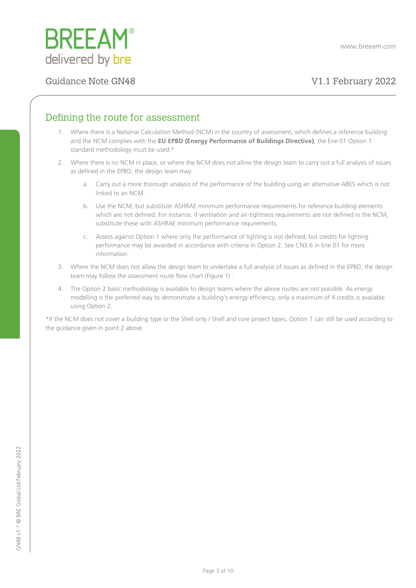

## <span id="page-2-0"></span>Defining the route for assessment

- 1. Where there is a National Calculation Method (NCM) in the country of assessment, which defines a reference building and the NCM complies with the **EU EPBD (Energy Performance of Buildings Directive)**, the Ene 01 Option 1 standard methodology must be used.\*
- 2. Where there is no NCM in place, or where the NCM does not allow the design team to carry out a full analysis of issues as defined in the EPBD, the design team may:
	- a. Carry out a more thorough analysis of the performance of the building using an alternative ABES which is not linked to an NCM.
	- b. Use the NCM, but substitute ASHRAE minimum performance requirements for reference building elements which are not defined. For instance, if ventilation and air-tightness requirements are not defined in the NCM, substitute these with ASHRAE minimum performance requirements.
	- c. Assess against Option 1 where only the performance of lighting is not defined, but credits for lighting performance may be awarded in accordance with criteria in Option 2. See CN3.6 in Ene 01 for more information.
- 3. Where the NCM does not allow the design team to undertake a full analysis of issues as defined in the EPBD, the design team may follow the assessment route flow chart (Figure 1) .
- 4. The Option 2 basic methodology is available to design teams where the above routes are not possible. As energy modelling is the preferred way to demonstrate a building's energy efficiency, only a maximum of 4 credits is available using Option 2.

\*If the NCM does not cover a building type or the Shell only / Shell and core project types, Option 1 can still be used according to the quidance given in point 2 above.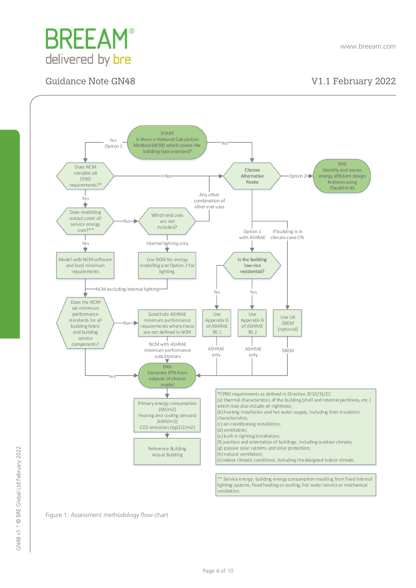



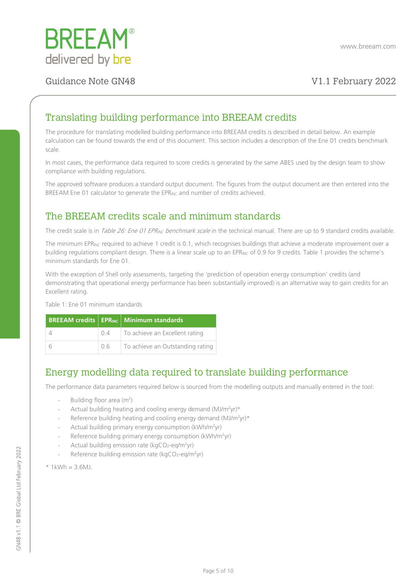

## <span id="page-4-0"></span>Translating building performance into BREEAM credits

The procedure for translating modelled building performance into BREEAM credits is described in detail below. An example calculation can be found towards the end of this document. This section includes a description of the Ene 01 credits benchmark scale.

In most cases, the performance data required to score credits is generated by the same ABES used by the design team to show compliance with building regulations.

The approved software produces a standard output document. The figures from the output document are then entered into the BREEAM Ene 01 calculator to generate the EPRINC and number of credits achieved.

## <span id="page-4-1"></span>The BREEAM credits scale and minimum standards

The credit scale is in Table 26: Ene 01 EPR<sub>INC</sub> benchmark scale in the technical manual. There are up to 9 standard credits available.

The minimum EPR<sub>INC</sub> required to achieve 1 credit is 0.1, which recognises buildings that achieve a moderate improvement over a building regulations compliant design. There is a linear scale up to an EPRINC of 0.9 for 9 credits. Table 1 provides the scheme's minimum standards for Ene 01.

With the exception of Shell only assessments, targeting the 'prediction of operation energy consumption' credits (and demonstrating that operational energy performance has been substantially improved) is an alternative way to gain credits for an Excellent rating.

Table 1: Ene 01 minimum standards

|    | <b>BREEAM credits   EPRING   Minimum standards</b> |
|----|----------------------------------------------------|
|    | $0.4$   To achieve an Excellent rating             |
| 06 | To achieve an Outstanding rating                   |

## <span id="page-4-2"></span>Energy modelling data required to translate building performance

The performance data parameters required below is sourced from the modelling outputs and manually entered in the tool:

- Building floor area (m<sup>2</sup>)
- Actual building heating and cooling energy demand  $(MJ/m^2yr)^*$
- Reference building heating and cooling energy demand  $(MJ/m^2yr)^*$
- Actual building primary energy consumption (kWh/m<sup>2</sup>yr)
- Reference building primary energy consumption (kWh/m<sup>2</sup>yr)
- Actual building emission rate ( $kgCO<sub>2</sub>-eq/m<sup>2</sup>yr$ )
- Reference building emission rate (kgCO<sub>2</sub>-eq/m<sup>2</sup>yr)
- $*$  1kWh = 3.6MJ.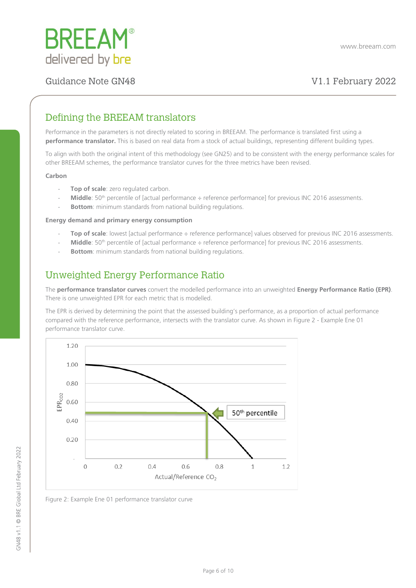

## <span id="page-5-0"></span>Defining the BREEAM translators

Performance in the parameters is not directly related to scoring in BREEAM. The performance is translated first using a **performance translator.** This is based on real data from a stock of actual buildings, representing different building types.

To align with both the original intent of this methodology (see GN25) and to be consistent with the energy performance scales for other BREEAM schemes, the performance translator curves for the three metrics have been revised.

### **Carbon**

- **Top of scale**: zero regulated carbon.
- **Middle**: 50<sup>th</sup> percentile of [actual performance ÷ reference performance] for previous INC 2016 assessments.
- Bottom: minimum standards from national building regulations.

### **Energy demand and primary energy consumption**

- Top of scale: lowest [actual performance ÷ reference performance] values observed for previous INC 2016 assessments.
- Middle: 50<sup>th</sup> percentile of [actual performance ÷ reference performance] for previous INC 2016 assessments.
- Bottom: minimum standards from national building regulations.

### <span id="page-5-1"></span>Unweighted Energy Performance Ratio

The **performance translator curves** convert the modelled performance into an unweighted **Energy Performance Ratio (EPR)**. There is one unweighted EPR for each metric that is modelled.

The EPR is derived by determining the point that the assessed building's performance, as a proportion of actual performance compared with the reference performance, intersects with the translator curve. As shown in Figure 2 - Example Ene 01 performance translator curve.



Figure 2: Example Ene 01 performance translator curve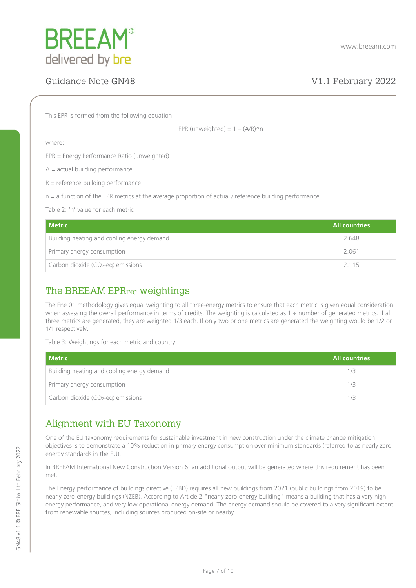

This EPR is formed from the following equation:

EPR (unweighted) =  $1 - (A/R)^n$ n

where:

EPR = Energy Performance Ratio (unweighted)

 $A =$  actual building performance

 $R =$  reference building performance

 $n = a$  function of the EPR metrics at the average proportion of actual / reference building performance.

Table 2: 'n' value for each metric

| <b>Metric</b>                              | <b>All countries</b> |
|--------------------------------------------|----------------------|
| Building heating and cooling energy demand | 2.648                |
| Primary energy consumption                 | 2061                 |
| Carbon dioxide ( $CO2$ -eq) emissions      | 2 1 1 5              |

## <span id="page-6-0"></span>The BREEAM EPR<sub>INC</sub> weightings

The Ene 01 methodology gives equal weighting to all three-energy metrics to ensure that each metric is given equal consideration when assessing the overall performance in terms of credits. The weighting is calculated as 1 ÷ number of generated metrics. If all three metrics are generated, they are weighted 1/3 each. If only two or one metrics are generated the weighting would be 1/2 or 1/1 respectively.

Table 3: Weightings for each metric and country

| <b>Metric</b>                                  | <b>All countries</b> |
|------------------------------------------------|----------------------|
| Building heating and cooling energy demand     |                      |
| Primary energy consumption                     |                      |
| Carbon dioxide (CO <sub>2</sub> -eq) emissions |                      |

### <span id="page-6-1"></span>Alignment with EU Taxonomy

One of the EU taxonomy requirements for sustainable investment in new construction under the climate change mitigation objectives is to demonstrate a 10% reduction in primary energy consumption over minimum standards (referred to as nearly zero energy standards in the EU).

In BREEAM International New Construction Version 6, an additional output will be generated where this requirement has been met.

The Energy performance of buildings directive (EPBD) requires all new buildings from 2021 (public buildings from 2019) to be nearly zero-energy buildings (NZEB). According to Article 2 "nearly zero-energy building" means a building that has a very high energy performance, and very low operational energy demand. The energy demand should be covered to a very significant extent from renewable sources, including sources produced on-site or nearby.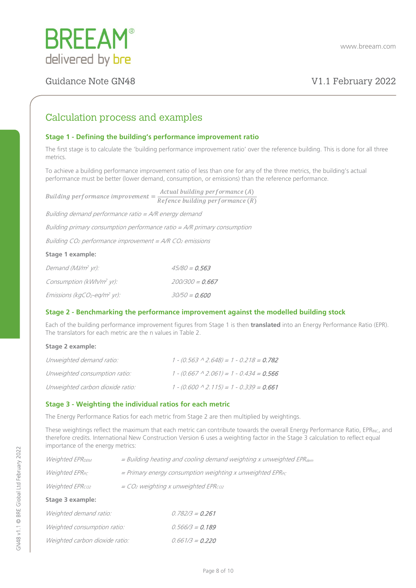

### <span id="page-7-0"></span>Calculation process and examples

### **Stage 1 - Defining the building's performance improvement ratio**

The first stage is to calculate the 'building performance improvement ratio' over the reference building. This is done for all three metrics.

To achieve a building performance improvement ratio of less than one for any of the three metrics, the building's actual performance must be better (lower demand, consumption, or emissions) than the reference performance.

|                                                                            | Actual building performance (A)                   |  |
|----------------------------------------------------------------------------|---------------------------------------------------|--|
| Building performance improvement $=$                                       | $\overline{Reference}$ building performance $(R)$ |  |
| Building demand performance ratio = $A/R$ energy demand                    |                                                   |  |
| Building primary consumption performance ratio $= A/R$ primary consumption |                                                   |  |
| Building $CO2$ performance improvement = A/R $CO2$ emissions               |                                                   |  |

### **Stage 1 example:**

| Demand (MJ/m <sup>2</sup> yr):                       | $45/80 = 0.563$   |
|------------------------------------------------------|-------------------|
| Consumption (kWh/m <sup>2</sup> yr):                 | $200/300 = 0.667$ |
| Emissions (kgCO <sub>2</sub> -eq/m <sup>2</sup> yr): | $30/50 = 0.600$   |

### **Stage 2 - Benchmarking the performance improvement against the modelled building stock**

Each of the building performance improvement figures from Stage 1 is then **translated** into an Energy Performance Ratio (EPR). The translators for each metric are the n values in Table 2.

### **Stage 2 example:**

| Unweighted demand ratio:         | $1 - (0.563 \land 2.648) = 1 - 0.218 = 0.782$ |
|----------------------------------|-----------------------------------------------|
| Unweighted consumption ratio:    | $1 - (0.667 \land 2.061) = 1 - 0.434 = 0.566$ |
| Unweighted carbon dioxide ratio: | $1 - (0.600 \land 2.115) = 1 - 0.339 = 0.661$ |

### **Stage 3 - Weighting the individual ratios for each metric**

The Energy Performance Ratios for each metric from Stage 2 are then multiplied by weightings.

These weightings reflect the maximum that each metric can contribute towards the overall Energy Performance Ratio, EPRINC, and therefore credits. International New Construction Version 6 uses a weighting factor in the Stage 3 calculation to reflect equal importance of the energy metrics:

| Stage 3 example:                  |                                                                             |
|-----------------------------------|-----------------------------------------------------------------------------|
| <i>Weighted EPR<sub>co2</sub></i> | $=$ CO <sub>2</sub> weighting x unweighted EPR <sub>co2</sub>               |
| Weighted EPR <sub>PC</sub>        | $=$ Primary energy consumption weighting x unweighted EPR <sub>PC</sub>     |
| Weighted EPR <sub>DEM</sub>       | $=$ Building heating and cooling demand weighting x unweighted EPR $_{dem}$ |

| <i>Weighted demand ratio:</i>  | $0.782/3 = 0.261$ |
|--------------------------------|-------------------|
| Weighted consumption ratio:    | $0.566/3 = 0.189$ |
| Weighted carbon dioxide ratio: | $0.661/3 = 0.220$ |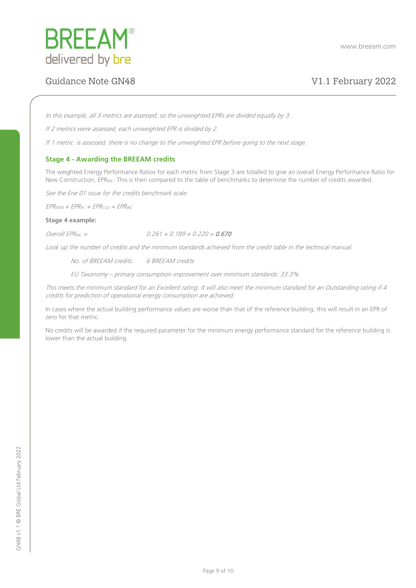

In this example, all 3 metrics are assessed, so the unweighted EPRs are divided equally by 3.

If 2 metrics were assessed, each unweighted EPR is divided by 2.

If 1 metric is assessed, there is no change to the unweighted EPR before going to the next stage.

### **Stage 4 - Awarding the BREEAM credits**

The weighted Energy Performance Ratios for each metric from Stage 3 are totalled to give an overall Energy Performance Ratio for New Construction, EPR<sub>INC</sub>. This is then compared to the table of benchmarks to determine the number of credits awarded.

See the Ene 01 issue for the credits benchmark scale.

 $EPR<sub>DEM</sub> + EPR<sub>PC</sub> + EPR<sub>CO2</sub> = EPR<sub>INC</sub>$ 

**Stage 4 example:**

 $Overall EPR_{INC} =$  0.261 + 0.189 + 0.220 = 0.670

Look up the number of credits and the minimum standards achieved from the credit table in the technical manual.

No. of BREEAM credits: 6 BREEAM credits

EU Taxonomy – primary consumption improvement over minimum standards: 33.3%

This meets the minimum standard for an Excellent rating. It will also meet the minimum standard for an Outstanding rating if 4 credits for prediction of operational energy consumption are achieved.

In cases where the actual building performance values are worse than that of the reference building, this will result in an EPR of zero for that metric.

No credits will be awarded if the required parameter for the minimum energy performance standard for the reference building is lower than the actual building.